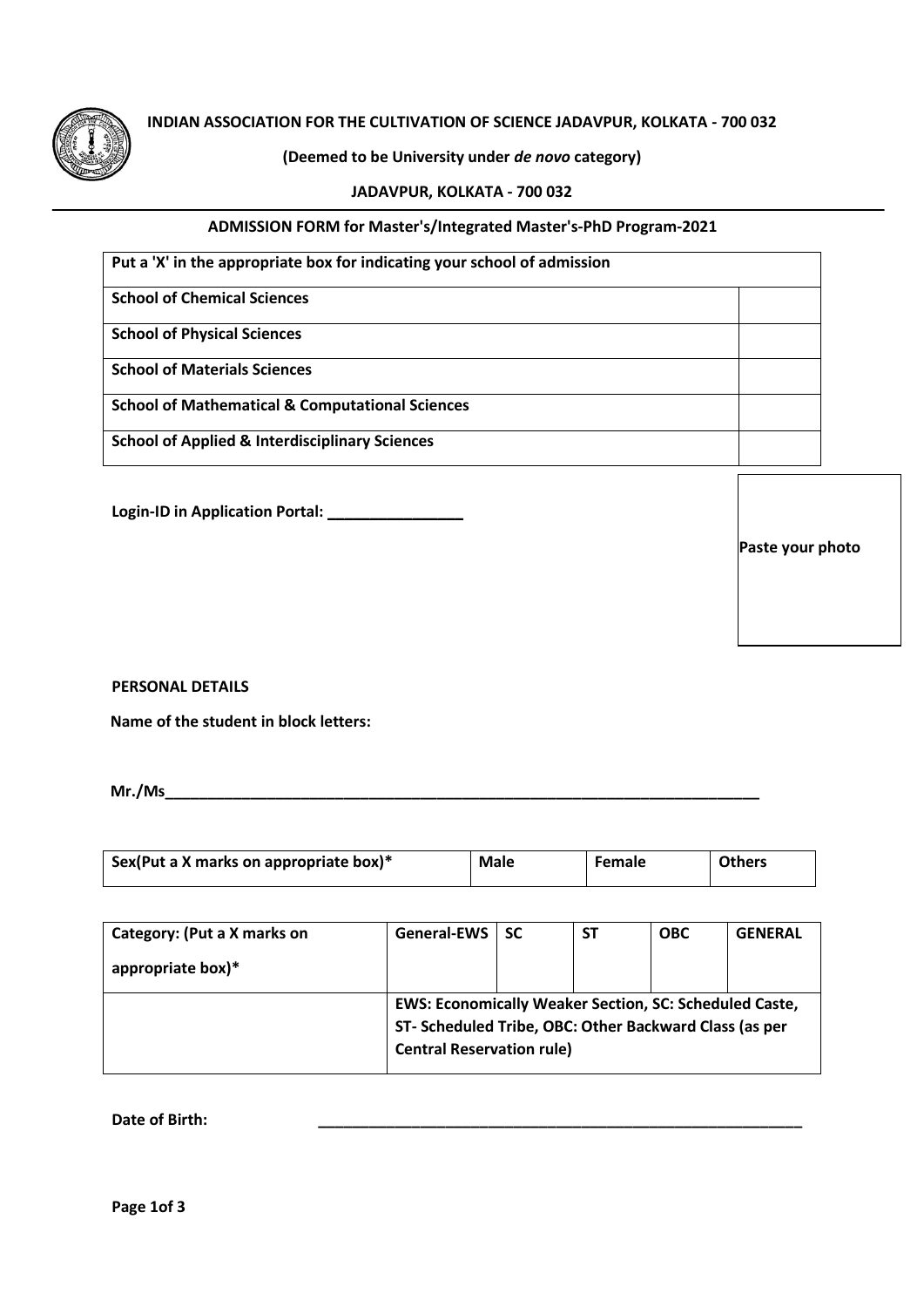

## **INDIAN ASSOCIATION FOR THE CULTIVATION OF SCIENCE JADAVPUR, KOLKATA - 700 032**

## **(Deemed to be University under** *de novo* **category)**

#### **JADAVPUR, KOLKATA - 700 032**

#### **ADMISSION FORM for Master's/Integrated Master's-PhD Program-2021**

| Put a 'X' in the appropriate box for indicating your school of admission |  |  |
|--------------------------------------------------------------------------|--|--|
| <b>School of Chemical Sciences</b>                                       |  |  |
| <b>School of Physical Sciences</b>                                       |  |  |
| <b>School of Materials Sciences</b>                                      |  |  |
| <b>School of Mathematical &amp; Computational Sciences</b>               |  |  |
| <b>School of Applied &amp; Interdisciplinary Sciences</b>                |  |  |

**Login-ID in Application Portal: \_\_\_\_\_\_\_\_\_\_\_\_\_\_\_\_**

**Paste your photo**

**PERSONAL DETAILS** 

**Name of the student in block letters:** 

**Mr./Ms\_\_\_\_\_\_\_\_\_\_\_\_\_\_\_\_\_\_\_\_\_\_\_\_\_\_\_\_\_\_\_\_\_\_\_\_\_\_\_\_\_\_\_\_\_\_\_\_\_\_\_\_\_\_\_\_\_\_\_\_\_\_\_\_\_\_\_\_\_\_**

| Sex(Put a X marks on appropriate box)* | <b>Male</b> | <b>Female</b> | <b>Others</b> |
|----------------------------------------|-------------|---------------|---------------|
|                                        |             |               |               |

| Category: (Put a X marks on | <b>General-EWS</b>                                            | <b>SC</b> | <b>ST</b> | <b>OBC</b> | <b>GENERAL</b> |
|-----------------------------|---------------------------------------------------------------|-----------|-----------|------------|----------------|
| appropriate box)*           |                                                               |           |           |            |                |
|                             | <b>EWS: Economically Weaker Section, SC: Scheduled Caste,</b> |           |           |            |                |
|                             | ST- Scheduled Tribe, OBC: Other Backward Class (as per        |           |           |            |                |
|                             | <b>Central Reservation rule)</b>                              |           |           |            |                |

Date of Birth: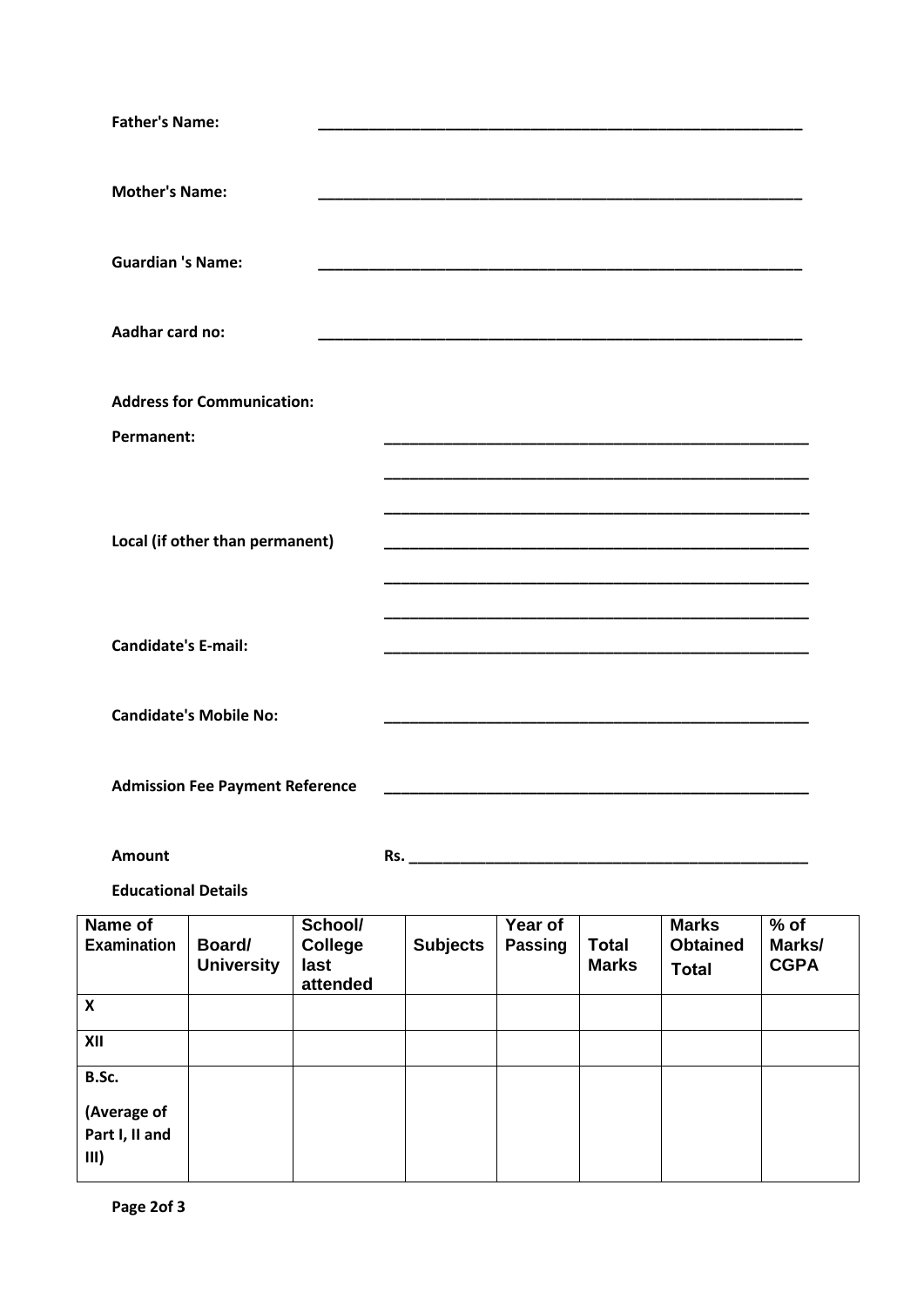| <b>Father's Name:</b>                       |                                                                                                                      |
|---------------------------------------------|----------------------------------------------------------------------------------------------------------------------|
| <b>Mother's Name:</b>                       |                                                                                                                      |
| <b>Guardian 's Name:</b>                    |                                                                                                                      |
| Aadhar card no:                             |                                                                                                                      |
| <b>Address for Communication:</b>           |                                                                                                                      |
| Permanent:                                  |                                                                                                                      |
| Local (if other than permanent)             |                                                                                                                      |
| <b>Candidate's E-mail:</b>                  | <u> 1989 - Johann John Stone, menydd y cyfeiriad y cyfeiriad y gynydd y gynydd y gynydd y gynydd y gynydd y gyny</u> |
| <b>Candidate's Mobile No:</b>               |                                                                                                                      |
| <b>Admission Fee Payment Reference</b>      | <u> 1989 - Johann Stein, mars an deutscher Stein und der Stein und der Stein und der Stein und der Stein und der</u> |
| <b>Amount</b><br><b>Educational Details</b> |                                                                                                                      |
|                                             |                                                                                                                      |

| Name of<br><b>Examination</b> | Board/<br><b>University</b> | School/<br><b>College</b><br>last<br>attended | <b>Subjects</b> | Year of<br><b>Passing</b> | <b>Total</b><br><b>Marks</b> | <b>Marks</b><br><b>Obtained</b><br><b>Total</b> | $%$ of<br>Marks/<br><b>CGPA</b> |
|-------------------------------|-----------------------------|-----------------------------------------------|-----------------|---------------------------|------------------------------|-------------------------------------------------|---------------------------------|
| $\boldsymbol{\mathsf{x}}$     |                             |                                               |                 |                           |                              |                                                 |                                 |
| XII                           |                             |                                               |                 |                           |                              |                                                 |                                 |
| B.Sc.                         |                             |                                               |                 |                           |                              |                                                 |                                 |
| (Average of                   |                             |                                               |                 |                           |                              |                                                 |                                 |
| Part I, II and<br>III)        |                             |                                               |                 |                           |                              |                                                 |                                 |

 $\mathbf{r}$